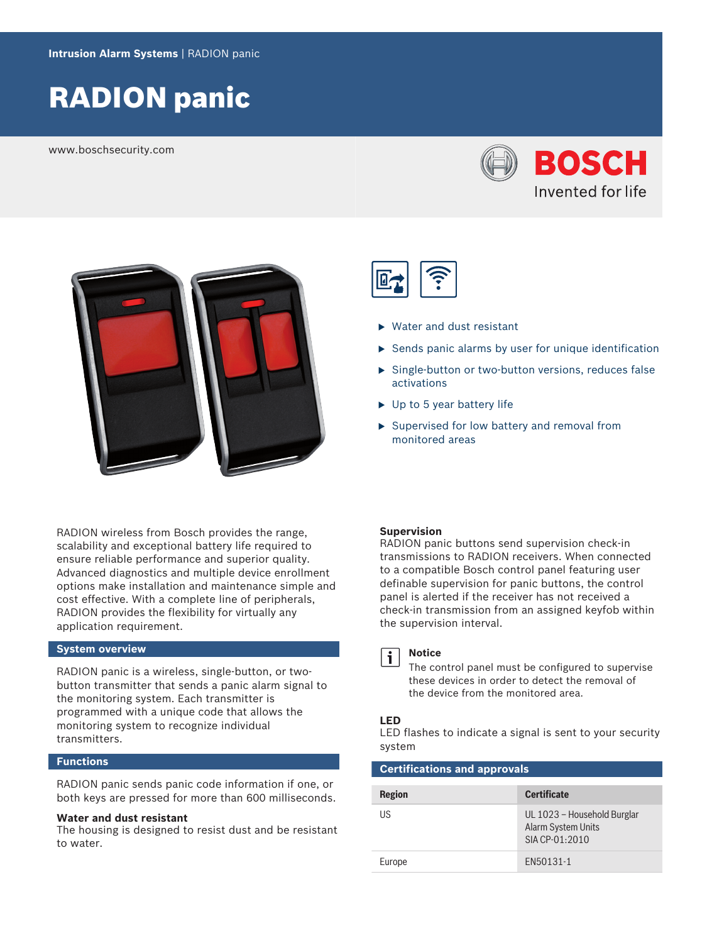# RADION panic

www.boschsecurity.com





RADION wireless from Bosch provides the range, scalability and exceptional battery life required to ensure reliable performance and superior quality. Advanced diagnostics and multiple device enrollment options make installation and maintenance simple and cost effective. With a complete line of peripherals, RADION provides the flexibility for virtually any application requirement.

## **System overview**

RADION panic is a wireless, single-button, or twobutton transmitter that sends a panic alarm signal to the monitoring system. Each transmitter is programmed with a unique code that allows the monitoring system to recognize individual transmitters.

## **Functions**

RADION panic sends panic code information if one, or both keys are pressed for more than 600 milliseconds.

#### **Water and dust resistant**

The housing is designed to resist dust and be resistant to water.



- $\blacktriangleright$  Water and dust resistant
- $\triangleright$  Sends panic alarms by user for unique identification
- $\triangleright$  Single-button or two-button versions, reduces false activations
- $\triangleright$  Up to 5 year battery life
- $\triangleright$  Supervised for low battery and removal from monitored areas

#### **Supervision**

RADION panic buttons send supervision check-in transmissions to RADION receivers. When connected to a compatible Bosch control panel featuring user definable supervision for panic buttons, the control panel is alerted if the receiver has not received a check-in transmission from an assigned keyfob within the supervision interval.



### **Notice**

The control panel must be configured to supervise these devices in order to detect the removal of the device from the monitored area.

# **LED**

LED flashes to indicate a signal is sent to your security system

#### **Certifications and approvals**

| <b>Region</b> | <b>Certificate</b>                                                  |
|---------------|---------------------------------------------------------------------|
| l IS          | UL 1023 – Household Burglar<br>Alarm System Units<br>SIA CP-01:2010 |
| Europe        | FN50131-1                                                           |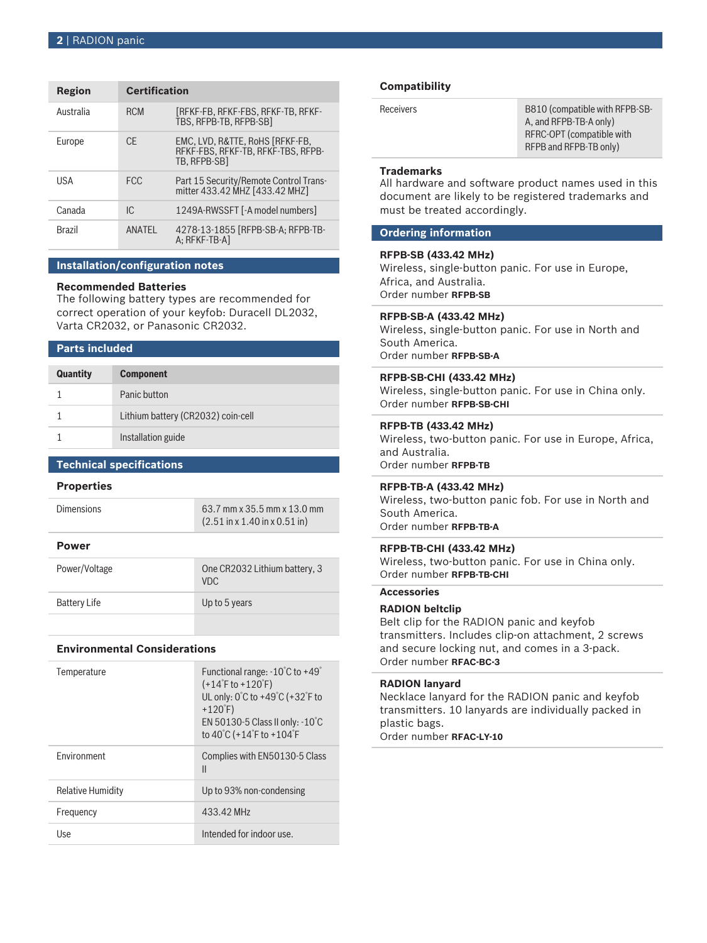#### **2** | RADION panic

| <b>Region</b> | <b>Certification</b> |                                                                                       |
|---------------|----------------------|---------------------------------------------------------------------------------------|
| Australia     | <b>RCM</b>           | TREKE-FB. REKE-FBS. REKE-TB. REKE-<br>TBS, RFPB-TB, RFPB-SB1                          |
| Europe        | CF.                  | EMC. LVD. R&TTE. RoHS [RFKF-FB.<br>RFKF-FBS, RFKF-TB, RFKF-TBS, RFPB-<br>TB. RFPB-SB1 |
| USA           | <b>FCC</b>           | Part 15 Security/Remote Control Trans-<br>mitter 433.42 MHZ [433.42 MHZ]              |
| Canada        | IC.                  | 1249A-RWSSFT [-A model numbers]                                                       |
| <b>Brazil</b> | ANATEL               | 4278-13-1855 [RFPB-SB-A; RFPB-TB-<br>A: RFKF-TB-AI                                    |

#### **Installation/configuration notes**

#### **Recommended Batteries**

The following battery types are recommended for correct operation of your keyfob: Duracell DL2032, Varta CR2032, or Panasonic CR2032.

#### **Parts included**

| <b>Quantity</b> | <b>Component</b>                   |
|-----------------|------------------------------------|
|                 | Panic button                       |
|                 | Lithium battery (CR2032) coin-cell |
|                 | Installation guide                 |

### **Technical specifications**

#### **Properties**

| <b>Dimensions</b> | 63.7 mm x 35.5 mm x 13.0 mm                               |
|-------------------|-----------------------------------------------------------|
|                   | $(2.51 \text{ in x } 1.40 \text{ in x } 0.51 \text{ in})$ |

#### **Power**

| Power/Voltage | One CR2032 Lithium battery, 3<br>VDC. |
|---------------|---------------------------------------|
| Battery Life  | Up to 5 years                         |
|               |                                       |

#### **Environmental Considerations**

| Temperature       | Functional range: $-10^{\circ}$ C to $+49^{\circ}$<br>$(+14^{\circ}$ F to +120 $^{\circ}$ F)<br>UL only: 0°C to +49°C (+32°F to<br>$+120$ F)<br>EN 50130-5 Class II only: $-10^{\circ}$ C<br>to 40°C (+14°F to +104°F |
|-------------------|-----------------------------------------------------------------------------------------------------------------------------------------------------------------------------------------------------------------------|
| Fnvironment       | Complies with EN50130-5 Class<br>$\mathsf{I}$                                                                                                                                                                         |
| Relative Humidity | Up to 93% non-condensing                                                                                                                                                                                              |
| Frequency         | 433.42 MHz                                                                                                                                                                                                            |
| Use               | Intended for indoor use.                                                                                                                                                                                              |
|                   |                                                                                                                                                                                                                       |

#### **Compatibility**

| <b>Receivers</b> | B810 (compatible with RFPB-SB- |
|------------------|--------------------------------|
|                  | A, and RFPB-TB-A only)         |
|                  | RFRC-OPT (compatible with      |
|                  | RFPB and RFPB-TB only)         |
|                  |                                |

#### **Trademarks**

All hardware and software product names used in this document are likely to be registered trademarks and must be treated accordingly.

#### **Ordering information**

#### **RFPB-SB (433.42 MHz)**

Wireless, single-button panic. For use in Europe, Africa, and Australia. Order number **RFPB-SB**

#### **RFPB-SB-A (433.42 MHz)**

Wireless, single-button panic. For use in North and South America. Order number **RFPB-SB-A**

### **RFPB-SB-CHI (433.42 MHz)**

Wireless, single-button panic. For use in China only. Order number **RFPB-SB-CHI**

#### **RFPB-TB (433.42 MHz)**

Wireless, two-button panic. For use in Europe, Africa, and Australia. Order number **RFPB-TB**

#### **RFPB-TB-A (433.42 MHz)**

Wireless, two-button panic fob. For use in North and South America. Order number **RFPB-TB-A**

#### **RFPB-TB-CHI (433.42 MHz)**

Wireless, two-button panic. For use in China only. Order number **RFPB-TB-CHI**

#### **Accessories**

#### **RADION beltclip**

Belt clip for the RADION panic and keyfob transmitters. Includes clip-on attachment, 2 screws and secure locking nut, and comes in a 3-pack. Order number **RFAC-BC-3**

#### **RADION lanyard**

Necklace lanyard for the RADION panic and keyfob transmitters. 10 lanyards are individually packed in plastic bags.

Order number **RFAC-LY-10**